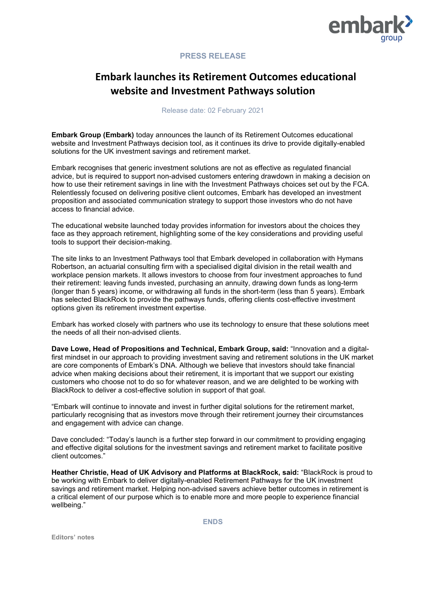

## **PRESS RELEASE**

## **Embark launches its Retirement Outcomes educational website and Investment Pathways solution**

Release date: 02 February 2021

**Embark Group (Embark)** today announces the launch of its Retirement Outcomes educational website and Investment Pathways decision tool, as it continues its drive to provide digitally-enabled solutions for the UK investment savings and retirement market.

Embark recognises that generic investment solutions are not as effective as regulated financial advice, but is required to support non-advised customers entering drawdown in making a decision on how to use their retirement savings in line with the Investment Pathways choices set out by the FCA. Relentlessly focused on delivering positive client outcomes, Embark has developed an investment proposition and associated communication strategy to support those investors who do not have access to financial advice.

The educational website launched today provides information for investors about the choices they face as they approach retirement, highlighting some of the key considerations and providing useful tools to support their decision-making.

The site links to an Investment Pathways tool that Embark developed in collaboration with Hymans Robertson, an actuarial consulting firm with a specialised digital division in the retail wealth and workplace pension markets. It allows investors to choose from four investment approaches to fund their retirement: leaving funds invested, purchasing an annuity, drawing down funds as long-term (longer than 5 years) income, or withdrawing all funds in the short-term (less than 5 years). Embark has selected [BlackRock](https://embarkgroup.co.uk/insights/embark-selects-blackrock-for-its-retirement-pathways-funds/) to provide the pathways funds, offering clients cost-effective investment options given its retirement investment expertise.

Embark has worked closely with partners who use its technology to ensure that these solutions meet the needs of all their non-advised clients.

**Dave Lowe, Head of Propositions and Technical, Embark Group, said:** "Innovation and a digitalfirst mindset in our approach to providing investment saving and retirement solutions in the UK market are core components of Embark's DNA. Although we believe that investors should take financial advice when making decisions about their retirement, it is important that we support our existing customers who choose not to do so for whatever reason, and we are delighted to be working with BlackRock to deliver a cost-effective solution in support of that goal.

"Embark will continue to innovate and invest in further digital solutions for the retirement market, particularly recognising that as investors move through their retirement journey their circumstances and engagement with advice can change.

Dave concluded: "Today's launch is a further step forward in our commitment to providing engaging and effective digital solutions for the investment savings and retirement market to facilitate positive client outcomes."

**Heather Christie, Head of UK Advisory and Platforms at BlackRock, said:** "BlackRock is proud to be working with Embark to deliver digitally-enabled Retirement Pathways for the UK investment savings and retirement market. Helping non-advised savers achieve better outcomes in retirement is a critical element of our purpose which is to enable more and more people to experience financial wellbeing."